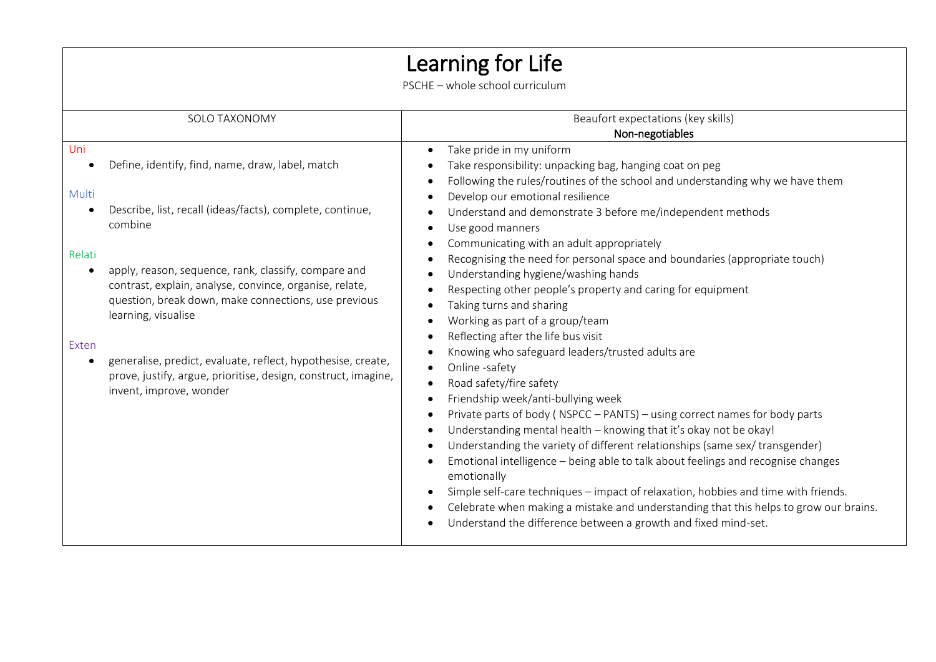## Learning for Life

PSCHE – whole school curriculum

| SOLO TAXONOMY                                                                                                                               | Beaufort expectations (key skills)                                                                                                                      |
|---------------------------------------------------------------------------------------------------------------------------------------------|---------------------------------------------------------------------------------------------------------------------------------------------------------|
|                                                                                                                                             | Non-negotiables                                                                                                                                         |
| Uni<br>Define, identify, find, name, draw, label, match                                                                                     | Take pride in my uniform<br>$\bullet$                                                                                                                   |
|                                                                                                                                             | Take responsibility: unpacking bag, hanging coat on peg<br>Following the rules/routines of the school and understanding why we have them                |
| Multi<br>Describe, list, recall (ideas/facts), complete, continue,                                                                          | Develop our emotional resilience<br>Understand and demonstrate 3 before me/independent methods                                                          |
| combine                                                                                                                                     | Use good manners                                                                                                                                        |
| Relati                                                                                                                                      | Communicating with an adult appropriately<br>Recognising the need for personal space and boundaries (appropriate touch)                                 |
| apply, reason, sequence, rank, classify, compare and<br>$\bullet$                                                                           | Understanding hygiene/washing hands                                                                                                                     |
| contrast, explain, analyse, convince, organise, relate,<br>question, break down, make connections, use previous                             | Respecting other people's property and caring for equipment<br>Taking turns and sharing                                                                 |
| learning, visualise                                                                                                                         | Working as part of a group/team                                                                                                                         |
| Exten                                                                                                                                       | Reflecting after the life bus visit<br>Knowing who safeguard leaders/trusted adults are                                                                 |
| generalise, predict, evaluate, reflect, hypothesise, create,<br>$\bullet$<br>prove, justify, argue, prioritise, design, construct, imagine, | Online -safety                                                                                                                                          |
| invent, improve, wonder                                                                                                                     | Road safety/fire safety                                                                                                                                 |
|                                                                                                                                             | Friendship week/anti-bullying week                                                                                                                      |
|                                                                                                                                             | Private parts of body (NSPCC - PANTS) - using correct names for body parts<br>Understanding mental health - knowing that it's okay not be okay!         |
|                                                                                                                                             | Understanding the variety of different relationships (same sex/ transgender)                                                                            |
|                                                                                                                                             | Emotional intelligence - being able to talk about feelings and recognise changes<br>emotionally                                                         |
|                                                                                                                                             | Simple self-care techniques – impact of relaxation, hobbies and time with friends.                                                                      |
|                                                                                                                                             | Celebrate when making a mistake and understanding that this helps to grow our brains.<br>Understand the difference between a growth and fixed mind-set. |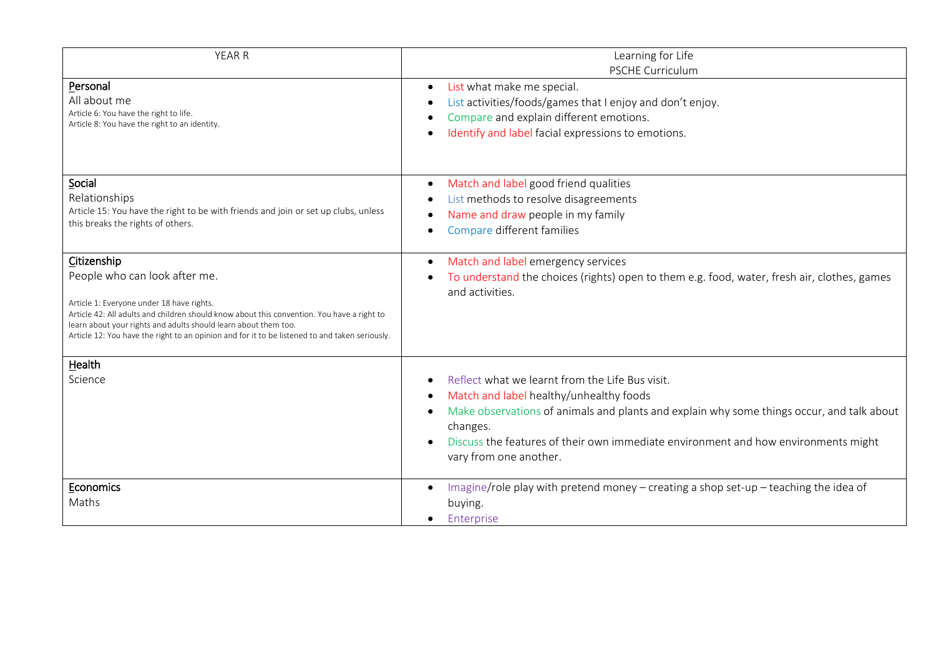| <b>YEAR R</b>                                                                                                                                                                                                                                                                                                                                                | Learning for Life<br><b>PSCHE Curriculum</b>                                                                                                                                                                                                                                                                        |
|--------------------------------------------------------------------------------------------------------------------------------------------------------------------------------------------------------------------------------------------------------------------------------------------------------------------------------------------------------------|---------------------------------------------------------------------------------------------------------------------------------------------------------------------------------------------------------------------------------------------------------------------------------------------------------------------|
| Personal<br>All about me<br>Article 6: You have the right to life.<br>Article 8: You have the right to an identity.                                                                                                                                                                                                                                          | List what make me special.<br>$\bullet$<br>List activities/foods/games that I enjoy and don't enjoy.<br>Compare and explain different emotions.<br>Identify and label facial expressions to emotions.                                                                                                               |
| Social<br>Relationships<br>Article 15: You have the right to be with friends and join or set up clubs, unless<br>this breaks the rights of others.                                                                                                                                                                                                           | Match and label good friend qualities<br>$\bullet$<br>List methods to resolve disagreements<br>Name and draw people in my family<br>Compare different families                                                                                                                                                      |
| Citizenship<br>People who can look after me.<br>Article 1: Everyone under 18 have rights.<br>Article 42: All adults and children should know about this convention. You have a right to<br>learn about your rights and adults should learn about them too.<br>Article 12: You have the right to an opinion and for it to be listened to and taken seriously. | Match and label emergency services<br>$\bullet$<br>To understand the choices (rights) open to them e.g. food, water, fresh air, clothes, games<br>and activities.                                                                                                                                                   |
| Health<br>Science                                                                                                                                                                                                                                                                                                                                            | Reflect what we learnt from the Life Bus visit.<br>Match and label healthy/unhealthy foods<br>Make observations of animals and plants and explain why some things occur, and talk about<br>changes.<br>Discuss the features of their own immediate environment and how environments might<br>vary from one another. |
| Economics<br>Maths                                                                                                                                                                                                                                                                                                                                           | Imagine/role play with pretend money – creating a shop set-up – teaching the idea of<br>$\bullet$<br>buying.<br>Enterprise<br>$\bullet$                                                                                                                                                                             |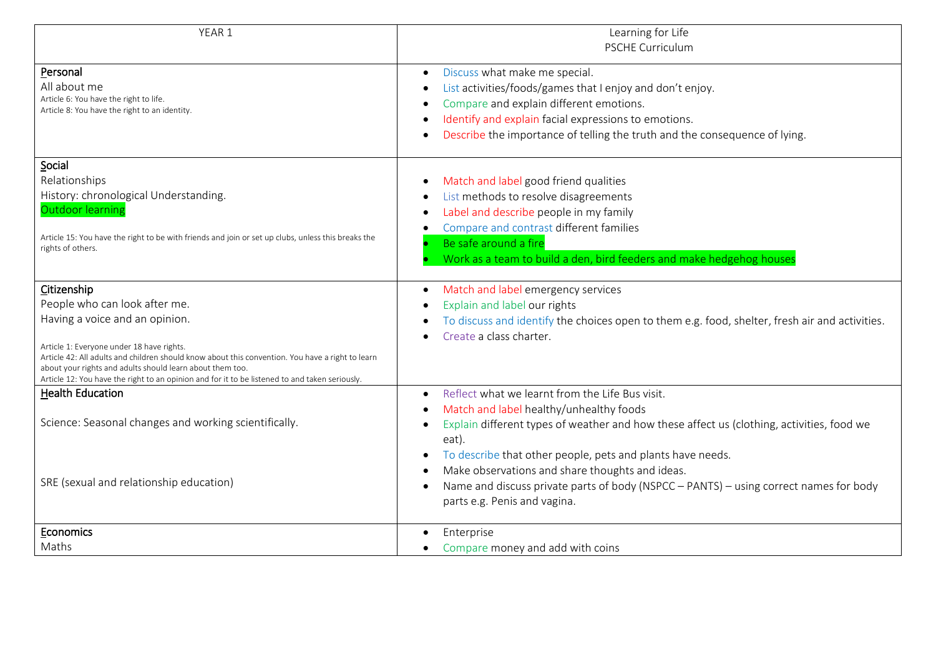| YEAR 1                                                                                                                                                        | Learning for Life<br><b>PSCHE Curriculum</b>                                                           |
|---------------------------------------------------------------------------------------------------------------------------------------------------------------|--------------------------------------------------------------------------------------------------------|
|                                                                                                                                                               |                                                                                                        |
| Personal                                                                                                                                                      | Discuss what make me special.<br>$\bullet$                                                             |
| All about me                                                                                                                                                  | List activities/foods/games that I enjoy and don't enjoy.                                              |
| Article 6: You have the right to life.<br>Article 8: You have the right to an identity.                                                                       | Compare and explain different emotions.                                                                |
|                                                                                                                                                               | Identify and explain facial expressions to emotions.<br>$\bullet$                                      |
|                                                                                                                                                               | Describe the importance of telling the truth and the consequence of lying.                             |
| Social                                                                                                                                                        |                                                                                                        |
| Relationships                                                                                                                                                 | Match and label good friend qualities                                                                  |
| History: chronological Understanding.                                                                                                                         | List methods to resolve disagreements                                                                  |
| <b>Outdoor learning</b>                                                                                                                                       | Label and describe people in my family<br>$\bullet$                                                    |
|                                                                                                                                                               | Compare and contrast different families                                                                |
| Article 15: You have the right to be with friends and join or set up clubs, unless this breaks the<br>rights of others.                                       | Be safe around a fire                                                                                  |
|                                                                                                                                                               | Work as a team to build a den, bird feeders and make hedgehog houses                                   |
| Citizenship                                                                                                                                                   | Match and label emergency services                                                                     |
| People who can look after me.                                                                                                                                 | Explain and label our rights                                                                           |
| Having a voice and an opinion.                                                                                                                                | To discuss and identify the choices open to them e.g. food, shelter, fresh air and activities.         |
|                                                                                                                                                               | Create a class charter.                                                                                |
| Article 1: Everyone under 18 have rights.                                                                                                                     |                                                                                                        |
| Article 42: All adults and children should know about this convention. You have a right to learn<br>about your rights and adults should learn about them too. |                                                                                                        |
| Article 12: You have the right to an opinion and for it to be listened to and taken seriously.                                                                |                                                                                                        |
| <b>Health Education</b>                                                                                                                                       | Reflect what we learnt from the Life Bus visit.                                                        |
|                                                                                                                                                               | Match and label healthy/unhealthy foods<br>$\bullet$                                                   |
| Science: Seasonal changes and working scientifically.                                                                                                         | Explain different types of weather and how these affect us (clothing, activities, food we<br>$\bullet$ |
|                                                                                                                                                               | eat).                                                                                                  |
|                                                                                                                                                               | To describe that other people, pets and plants have needs.                                             |
|                                                                                                                                                               | Make observations and share thoughts and ideas.                                                        |
| SRE (sexual and relationship education)                                                                                                                       | Name and discuss private parts of body (NSPCC - PANTS) - using correct names for body                  |
|                                                                                                                                                               | parts e.g. Penis and vagina.                                                                           |
| Economics                                                                                                                                                     | Enterprise                                                                                             |
| Maths                                                                                                                                                         | Compare money and add with coins                                                                       |
|                                                                                                                                                               |                                                                                                        |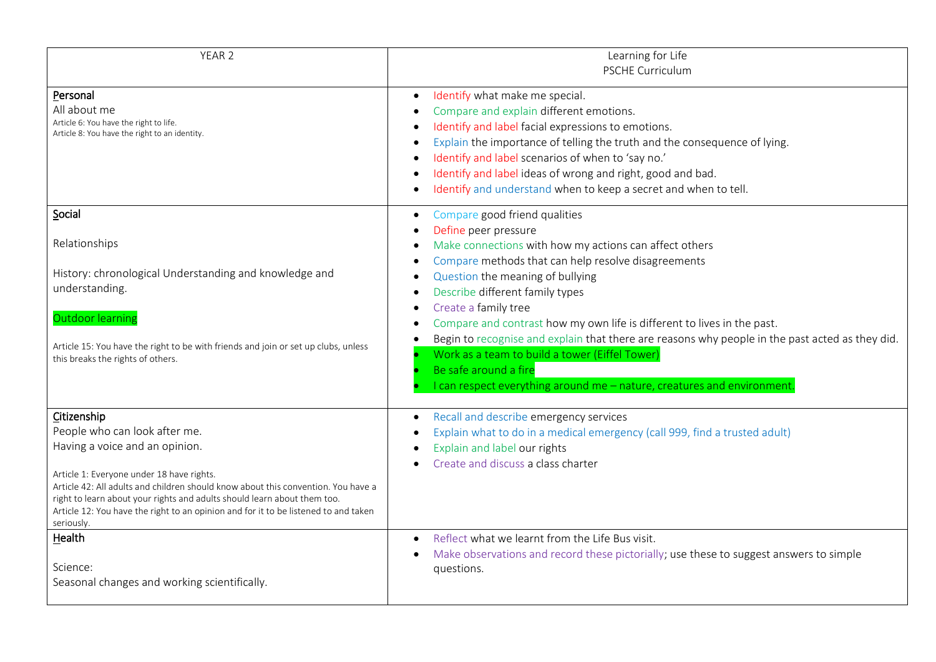| YEAR <sub>2</sub>                                                                                                                                                                                                                                                                                                                                                                                 | Learning for Life<br>PSCHE Curriculum                                                                                                                                                                                                                                                                                                                                                                           |
|---------------------------------------------------------------------------------------------------------------------------------------------------------------------------------------------------------------------------------------------------------------------------------------------------------------------------------------------------------------------------------------------------|-----------------------------------------------------------------------------------------------------------------------------------------------------------------------------------------------------------------------------------------------------------------------------------------------------------------------------------------------------------------------------------------------------------------|
| Personal<br>All about me<br>Article 6: You have the right to life.<br>Article 8: You have the right to an identity.                                                                                                                                                                                                                                                                               | Identify what make me special.<br>$\bullet$<br>Compare and explain different emotions.<br>Identify and label facial expressions to emotions.<br>Explain the importance of telling the truth and the consequence of lying.<br>Identify and label scenarios of when to 'say no.'<br>Identify and label ideas of wrong and right, good and bad.<br>Identify and understand when to keep a secret and when to tell. |
| Social<br>Relationships<br>History: chronological Understanding and knowledge and<br>understanding.                                                                                                                                                                                                                                                                                               | Compare good friend qualities<br>٠<br>Define peer pressure<br>Make connections with how my actions can affect others<br>Compare methods that can help resolve disagreements<br>Question the meaning of bullying<br>Describe different family types<br>Create a family tree                                                                                                                                      |
| Outdoor learning<br>Article 15: You have the right to be with friends and join or set up clubs, unless<br>this breaks the rights of others.                                                                                                                                                                                                                                                       | Compare and contrast how my own life is different to lives in the past.<br>Begin to recognise and explain that there are reasons why people in the past acted as they did.<br>Work as a team to build a tower (Eiffel Tower)<br>Be safe around a fire<br>I can respect everything around me - nature, creatures and environment                                                                                 |
| Citizenship<br>People who can look after me.<br>Having a voice and an opinion.<br>Article 1: Everyone under 18 have rights.<br>Article 42: All adults and children should know about this convention. You have a<br>right to learn about your rights and adults should learn about them too.<br>Article 12: You have the right to an opinion and for it to be listened to and taken<br>seriously. | Recall and describe emergency services<br>Explain what to do in a medical emergency (call 999, find a trusted adult)<br>Explain and label our rights<br>Create and discuss a class charter                                                                                                                                                                                                                      |
| Health<br>Science:<br>Seasonal changes and working scientifically.                                                                                                                                                                                                                                                                                                                                | Reflect what we learnt from the Life Bus visit.<br>$\bullet$<br>Make observations and record these pictorially; use these to suggest answers to simple<br>questions.                                                                                                                                                                                                                                            |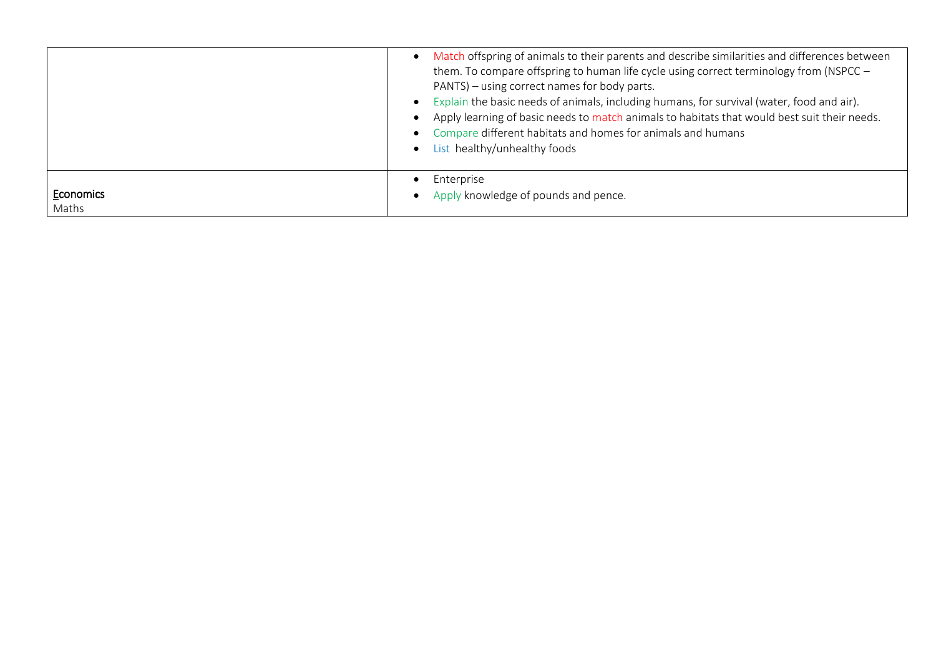|           | Match offspring of animals to their parents and describe similarities and differences between<br>them. To compare offspring to human life cycle using correct terminology from (NSPCC -<br>PANTS) - using correct names for body parts.<br>Explain the basic needs of animals, including humans, for survival (water, food and air).<br>Apply learning of basic needs to match animals to habitats that would best suit their needs.<br>Compare different habitats and homes for animals and humans<br>List healthy/unhealthy foods |
|-----------|-------------------------------------------------------------------------------------------------------------------------------------------------------------------------------------------------------------------------------------------------------------------------------------------------------------------------------------------------------------------------------------------------------------------------------------------------------------------------------------------------------------------------------------|
| Economics | Enterprise                                                                                                                                                                                                                                                                                                                                                                                                                                                                                                                          |
| Maths     | Apply knowledge of pounds and pence.                                                                                                                                                                                                                                                                                                                                                                                                                                                                                                |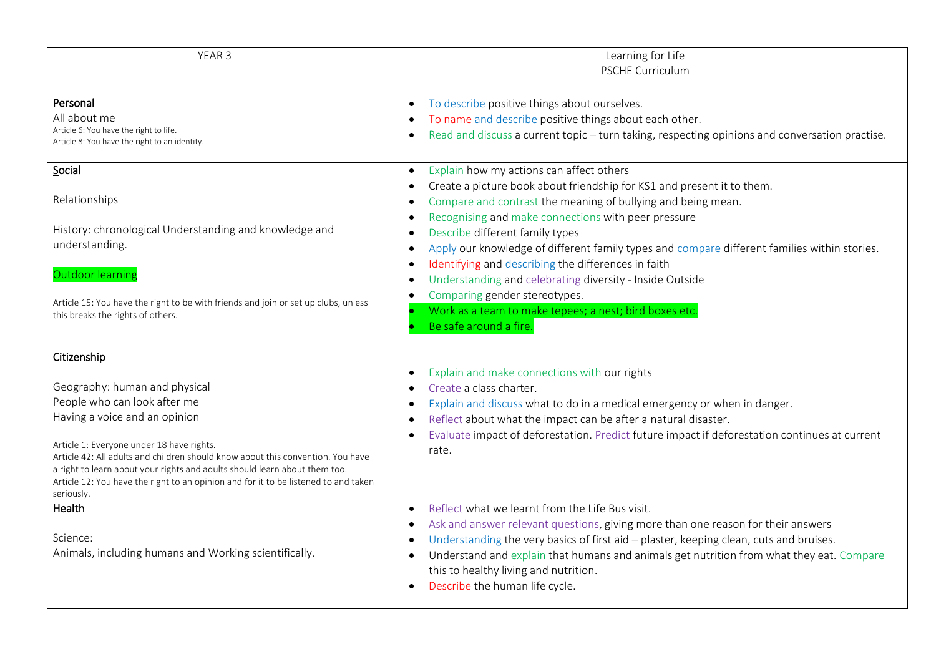| YEAR 3                                                                                                                                                                                                                                                                                                                                                                                                                           | Learning for Life<br><b>PSCHE Curriculum</b>                                                                                                                                                                                                                                                                                                                                                                                   |
|----------------------------------------------------------------------------------------------------------------------------------------------------------------------------------------------------------------------------------------------------------------------------------------------------------------------------------------------------------------------------------------------------------------------------------|--------------------------------------------------------------------------------------------------------------------------------------------------------------------------------------------------------------------------------------------------------------------------------------------------------------------------------------------------------------------------------------------------------------------------------|
| Personal<br>All about me<br>Article 6: You have the right to life.<br>Article 8: You have the right to an identity.                                                                                                                                                                                                                                                                                                              | To describe positive things about ourselves.<br>$\bullet$<br>To name and describe positive things about each other.<br>Read and discuss a current topic - turn taking, respecting opinions and conversation practise.                                                                                                                                                                                                          |
| Social<br>Relationships                                                                                                                                                                                                                                                                                                                                                                                                          | Explain how my actions can affect others<br>$\bullet$<br>Create a picture book about friendship for KS1 and present it to them.<br>Compare and contrast the meaning of bullying and being mean.                                                                                                                                                                                                                                |
| History: chronological Understanding and knowledge and<br>understanding.                                                                                                                                                                                                                                                                                                                                                         | Recognising and make connections with peer pressure<br>Describe different family types<br>Apply our knowledge of different family types and compare different families within stories.<br>$\bullet$<br>Identifying and describing the differences in faith<br>$\bullet$                                                                                                                                                        |
| Outdoor learning<br>Article 15: You have the right to be with friends and join or set up clubs, unless<br>this breaks the rights of others.                                                                                                                                                                                                                                                                                      | Understanding and celebrating diversity - Inside Outside<br>$\bullet$<br>Comparing gender stereotypes.<br>$\bullet$<br>Work as a team to make tepees; a nest; bird boxes etc.<br>Be safe around a fire.                                                                                                                                                                                                                        |
| Citizenship<br>Geography: human and physical<br>People who can look after me<br>Having a voice and an opinion<br>Article 1: Everyone under 18 have rights.<br>Article 42: All adults and children should know about this convention. You have<br>a right to learn about your rights and adults should learn about them too.<br>Article 12: You have the right to an opinion and for it to be listened to and taken<br>seriously. | Explain and make connections with our rights<br>Create a class charter.<br>Explain and discuss what to do in a medical emergency or when in danger.<br>Reflect about what the impact can be after a natural disaster.<br>$\bullet$<br>Evaluate impact of deforestation. Predict future impact if deforestation continues at current<br>rate.                                                                                   |
| Health<br>Science:<br>Animals, including humans and Working scientifically.                                                                                                                                                                                                                                                                                                                                                      | Reflect what we learnt from the Life Bus visit.<br>$\bullet$<br>Ask and answer relevant questions, giving more than one reason for their answers<br>$\bullet$<br>Understanding the very basics of first aid - plaster, keeping clean, cuts and bruises.<br>Understand and explain that humans and animals get nutrition from what they eat. Compare<br>this to healthy living and nutrition.<br>Describe the human life cycle. |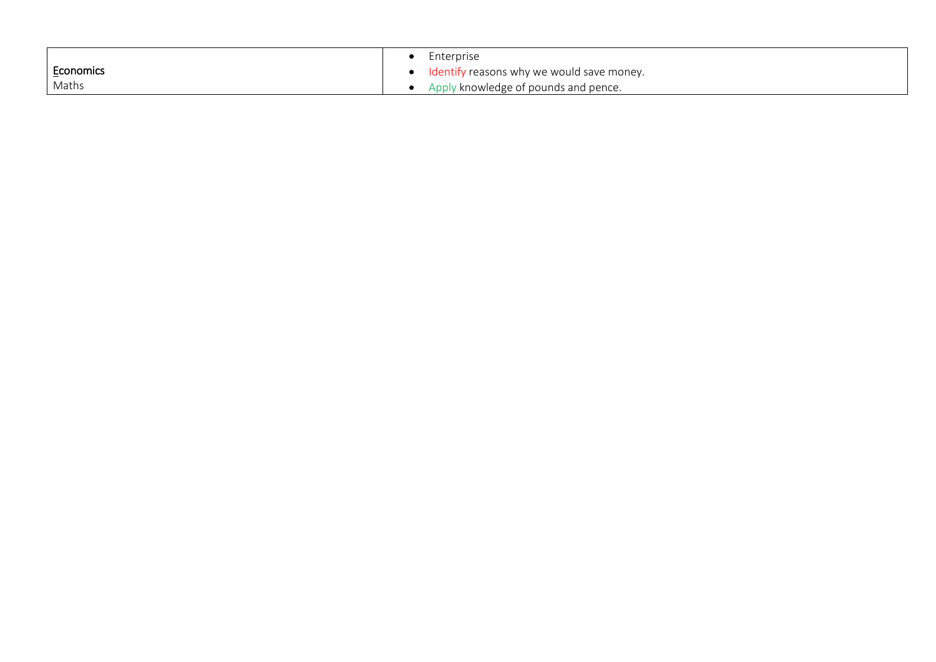|           | Enterprise                                  |
|-----------|---------------------------------------------|
| Economics | • Identify reasons why we would save money. |
| Maths     | • Apply knowledge of pounds and pence.      |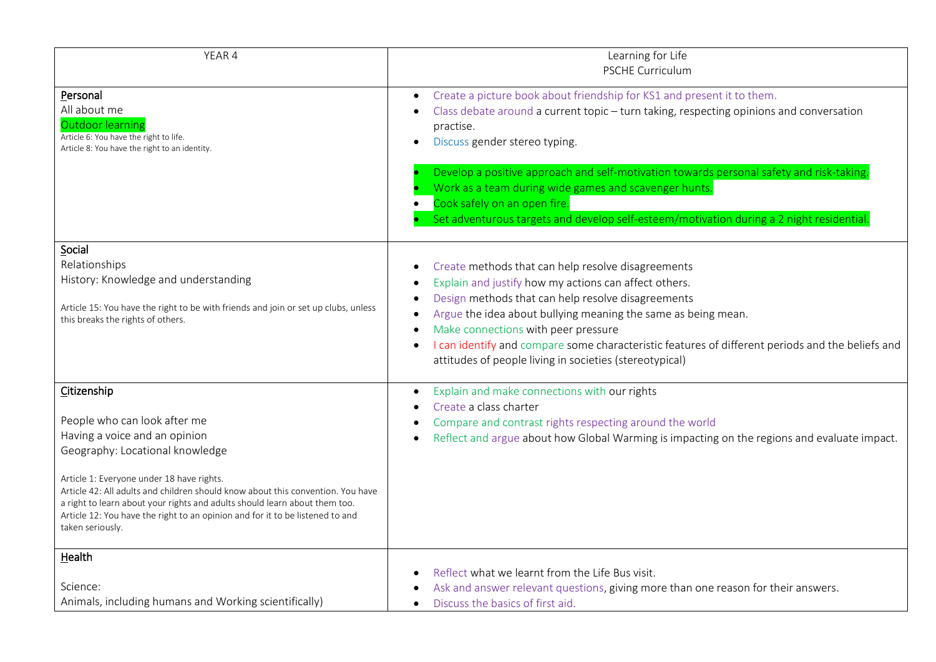| YEAR 4                                                                                                                                                                                                                                                                                                                                                                                                                             | Learning for Life<br><b>PSCHE Curriculum</b>                                                                                                                                                                                                                                                                                                                                                                                                                                                              |
|------------------------------------------------------------------------------------------------------------------------------------------------------------------------------------------------------------------------------------------------------------------------------------------------------------------------------------------------------------------------------------------------------------------------------------|-----------------------------------------------------------------------------------------------------------------------------------------------------------------------------------------------------------------------------------------------------------------------------------------------------------------------------------------------------------------------------------------------------------------------------------------------------------------------------------------------------------|
| Personal<br>All about me<br>Outdoor learning<br>Article 6: You have the right to life.<br>Article 8: You have the right to an identity.                                                                                                                                                                                                                                                                                            | Create a picture book about friendship for KS1 and present it to them.<br>$\bullet$<br>Class debate around a current topic - turn taking, respecting opinions and conversation<br>practise.<br>Discuss gender stereo typing.<br>$\bullet$<br>Develop a positive approach and self-motivation towards personal safety and risk-taking.                                                                                                                                                                     |
|                                                                                                                                                                                                                                                                                                                                                                                                                                    | Work as a team during wide games and scavenger hunts.<br>Cook safely on an open fire.<br>Set adventurous targets and develop self-esteem/motivation during a 2 night residential.                                                                                                                                                                                                                                                                                                                         |
| Social<br>Relationships<br>History: Knowledge and understanding<br>Article 15: You have the right to be with friends and join or set up clubs, unless<br>this breaks the rights of others.                                                                                                                                                                                                                                         | Create methods that can help resolve disagreements<br>$\bullet$<br>Explain and justify how my actions can affect others.<br>$\bullet$<br>Design methods that can help resolve disagreements<br>$\bullet$<br>Argue the idea about bullying meaning the same as being mean.<br>Make connections with peer pressure<br>$\bullet$<br>I can identify and compare some characteristic features of different periods and the beliefs and<br>$\bullet$<br>attitudes of people living in societies (stereotypical) |
| Citizenship<br>People who can look after me<br>Having a voice and an opinion<br>Geography: Locational knowledge<br>Article 1: Everyone under 18 have rights.<br>Article 42: All adults and children should know about this convention. You have<br>a right to learn about your rights and adults should learn about them too.<br>Article 12: You have the right to an opinion and for it to be listened to and<br>taken seriously. | Explain and make connections with our rights<br>$\bullet$<br>Create a class charter<br>Compare and contrast rights respecting around the world<br>Reflect and argue about how Global Warming is impacting on the regions and evaluate impact.<br>$\bullet$                                                                                                                                                                                                                                                |
| Health<br>Science:<br>Animals, including humans and Working scientifically)                                                                                                                                                                                                                                                                                                                                                        | Reflect what we learnt from the Life Bus visit.<br>Ask and answer relevant questions, giving more than one reason for their answers.<br>Discuss the basics of first aid.<br>$\bullet$                                                                                                                                                                                                                                                                                                                     |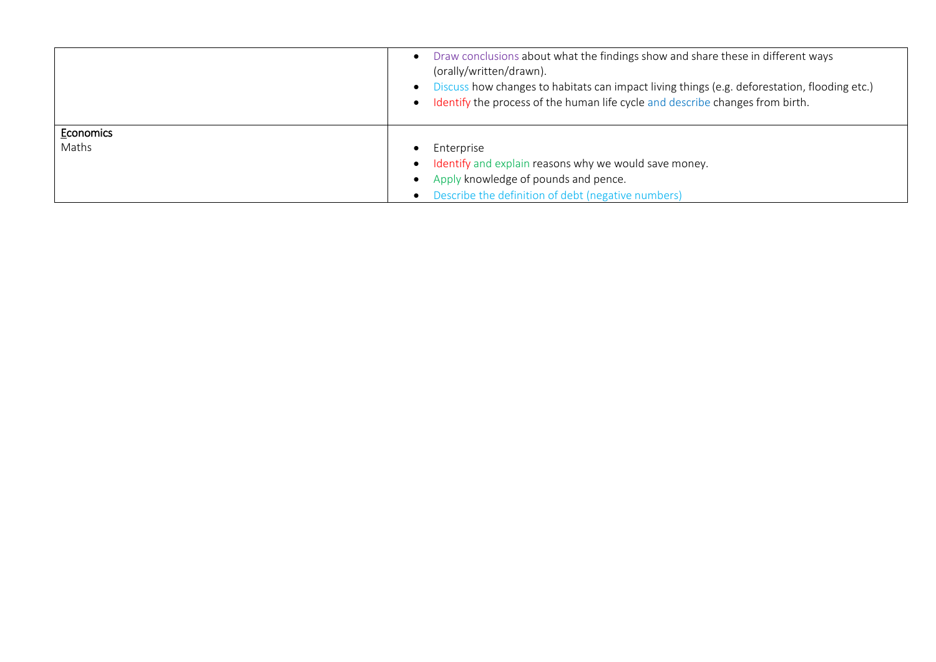|                    | Draw conclusions about what the findings show and share these in different ways<br>$\bullet$<br>(orally/written/drawn).<br>• Discuss how changes to habitats can impact living things (e.g. deforestation, flooding etc.)<br>• Identify the process of the human life cycle and describe changes from birth. |
|--------------------|--------------------------------------------------------------------------------------------------------------------------------------------------------------------------------------------------------------------------------------------------------------------------------------------------------------|
| Economics<br>Maths | Enterprise<br>$\bullet$<br>Identify and explain reasons why we would save money.<br>$\bullet$<br>Apply knowledge of pounds and pence.                                                                                                                                                                        |
|                    | $\bullet$<br>Describe the definition of debt (negative numbers)<br>$\bullet$                                                                                                                                                                                                                                 |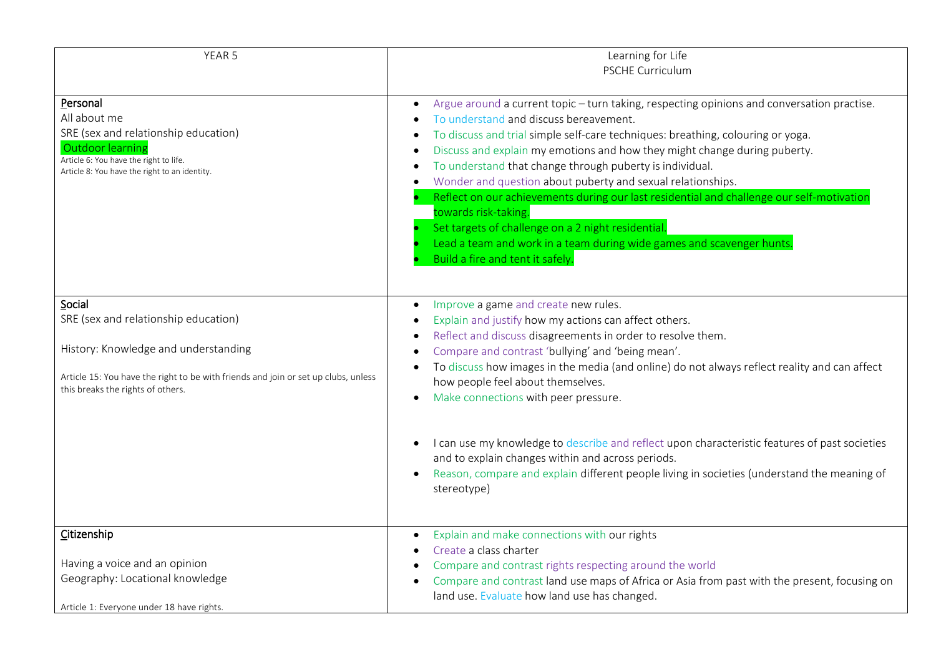| YEAR <sub>5</sub>                                                                                                                                                                                                 | Learning for Life<br><b>PSCHE Curriculum</b>                                                                                                                                                                                                                                                                                                                                                                                                                                                                                                                                                                                                                                                                                                                                             |
|-------------------------------------------------------------------------------------------------------------------------------------------------------------------------------------------------------------------|------------------------------------------------------------------------------------------------------------------------------------------------------------------------------------------------------------------------------------------------------------------------------------------------------------------------------------------------------------------------------------------------------------------------------------------------------------------------------------------------------------------------------------------------------------------------------------------------------------------------------------------------------------------------------------------------------------------------------------------------------------------------------------------|
| Personal<br>All about me<br>SRE (sex and relationship education)<br><b>Outdoor learning</b><br>Article 6: You have the right to life.<br>Article 8: You have the right to an identity.                            | Argue around a current topic - turn taking, respecting opinions and conversation practise.<br>$\bullet$<br>To understand and discuss bereavement.<br>To discuss and trial simple self-care techniques: breathing, colouring or yoga.<br>$\bullet$<br>Discuss and explain my emotions and how they might change during puberty.<br>$\bullet$<br>To understand that change through puberty is individual.<br>$\bullet$<br>Wonder and question about puberty and sexual relationships.<br>$\bullet$<br>Reflect on our achievements during our last residential and challenge our self-motivation<br>towards risk-taking.<br>Set targets of challenge on a 2 night residential.<br>Lead a team and work in a team during wide games and scavenger hunts.<br>Build a fire and tent it safely. |
| Social<br>SRE (sex and relationship education)<br>History: Knowledge and understanding<br>Article 15: You have the right to be with friends and join or set up clubs, unless<br>this breaks the rights of others. | Improve a game and create new rules.<br>$\bullet$<br>Explain and justify how my actions can affect others.<br>$\bullet$<br>Reflect and discuss disagreements in order to resolve them.<br>$\bullet$<br>Compare and contrast 'bullying' and 'being mean'.<br>To discuss how images in the media (and online) do not always reflect reality and can affect<br>$\bullet$<br>how people feel about themselves.<br>Make connections with peer pressure.<br>$\bullet$<br>I can use my knowledge to describe and reflect upon characteristic features of past societies<br>$\bullet$<br>and to explain changes within and across periods.<br>Reason, compare and explain different people living in societies (understand the meaning of<br>$\bullet$<br>stereotype)                            |
| Citizenship<br>Having a voice and an opinion<br>Geography: Locational knowledge<br>Article 1: Everyone under 18 have rights.                                                                                      | Explain and make connections with our rights<br>$\bullet$<br>Create a class charter<br>$\bullet$<br>Compare and contrast rights respecting around the world<br>Compare and contrast land use maps of Africa or Asia from past with the present, focusing on<br>$\bullet$<br>land use. Evaluate how land use has changed.                                                                                                                                                                                                                                                                                                                                                                                                                                                                 |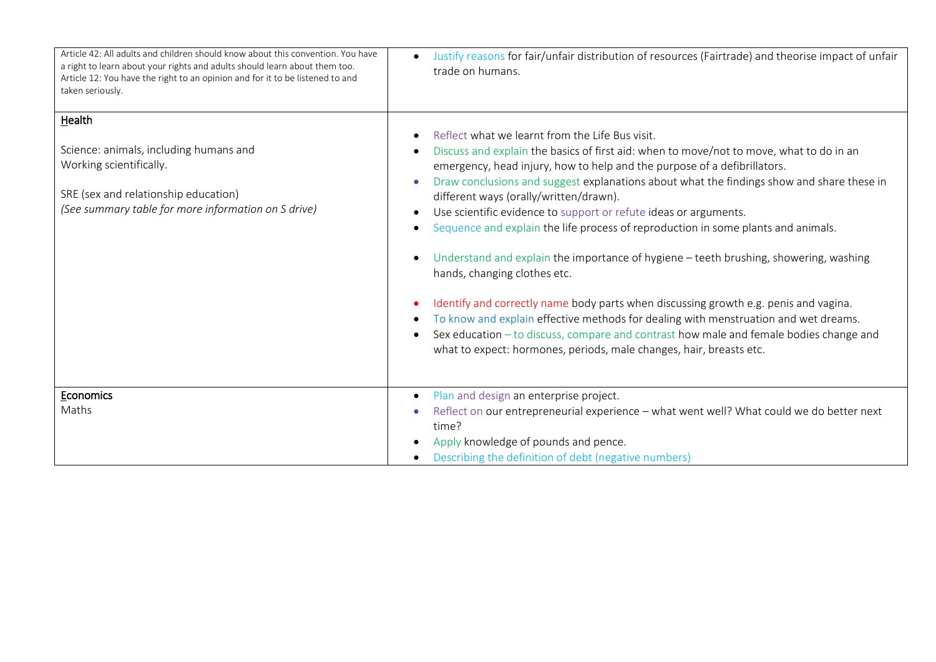| Article 42: All adults and children should know about this convention. You have<br>a right to learn about your rights and adults should learn about them too.<br>Article 12: You have the right to an opinion and for it to be listened to and<br>taken seriously. | Justify reasons for fair/unfair distribution of resources (Fairtrade) and theorise impact of unfair<br>$\bullet$<br>trade on humans.                                                                                                                                                                                                                                                                                                                                                                                                                                                                                                                                                                                                                                                                                                                                                                                                                                                                                                                                                                    |
|--------------------------------------------------------------------------------------------------------------------------------------------------------------------------------------------------------------------------------------------------------------------|---------------------------------------------------------------------------------------------------------------------------------------------------------------------------------------------------------------------------------------------------------------------------------------------------------------------------------------------------------------------------------------------------------------------------------------------------------------------------------------------------------------------------------------------------------------------------------------------------------------------------------------------------------------------------------------------------------------------------------------------------------------------------------------------------------------------------------------------------------------------------------------------------------------------------------------------------------------------------------------------------------------------------------------------------------------------------------------------------------|
| Health<br>Science: animals, including humans and<br>Working scientifically.<br>SRE (sex and relationship education)<br>(See summary table for more information on S drive)                                                                                         | Reflect what we learnt from the Life Bus visit.<br>$\bullet$<br>Discuss and explain the basics of first aid: when to move/not to move, what to do in an<br>emergency, head injury, how to help and the purpose of a defibrillators.<br>Draw conclusions and suggest explanations about what the findings show and share these in<br>$\bullet$<br>different ways (orally/written/drawn).<br>Use scientific evidence to support or refute ideas or arguments.<br>$\bullet$<br>Sequence and explain the life process of reproduction in some plants and animals.<br>$\bullet$<br>Understand and explain the importance of hygiene – teeth brushing, showering, washing<br>$\bullet$<br>hands, changing clothes etc.<br>Identify and correctly name body parts when discussing growth e.g. penis and vagina.<br>$\bullet$<br>To know and explain effective methods for dealing with menstruation and wet dreams.<br>$\bullet$<br>Sex education - to discuss, compare and contrast how male and female bodies change and<br>$\bullet$<br>what to expect: hormones, periods, male changes, hair, breasts etc. |
| Economics<br>Maths                                                                                                                                                                                                                                                 | Plan and design an enterprise project.<br>$\bullet$<br>Reflect on our entrepreneurial experience - what went well? What could we do better next<br>time?<br>Apply knowledge of pounds and pence.<br>Describing the definition of debt (negative numbers)<br>$\bullet$                                                                                                                                                                                                                                                                                                                                                                                                                                                                                                                                                                                                                                                                                                                                                                                                                                   |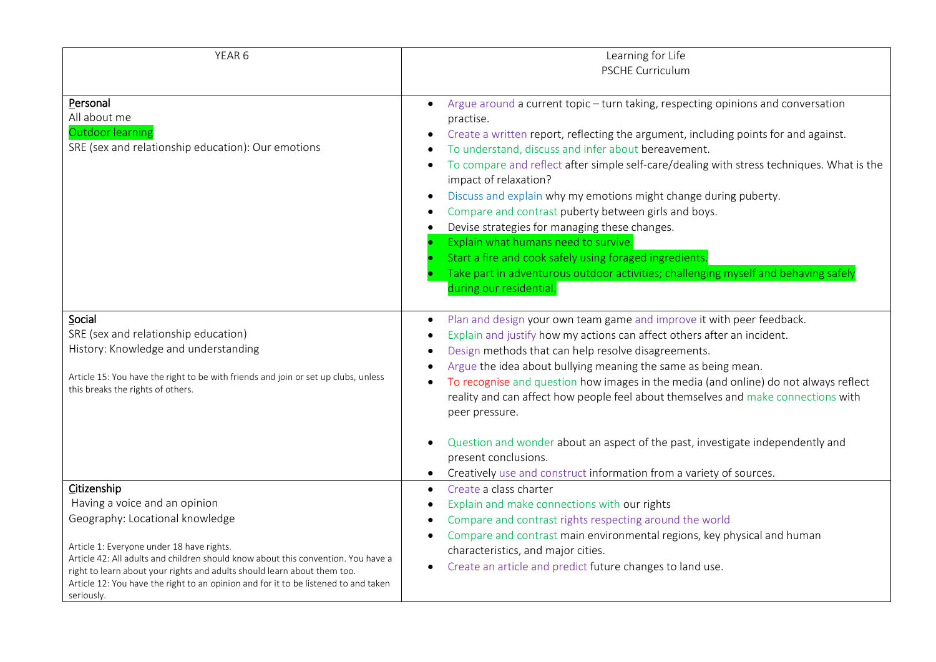| YEAR 6                                                                                                                                                                                                                                                                                                                                                                                             | Learning for Life                                                                                                                                                                                                                                                                                                                                                                                                                                                                                                                                                                                                                                                                                                                                                   |
|----------------------------------------------------------------------------------------------------------------------------------------------------------------------------------------------------------------------------------------------------------------------------------------------------------------------------------------------------------------------------------------------------|---------------------------------------------------------------------------------------------------------------------------------------------------------------------------------------------------------------------------------------------------------------------------------------------------------------------------------------------------------------------------------------------------------------------------------------------------------------------------------------------------------------------------------------------------------------------------------------------------------------------------------------------------------------------------------------------------------------------------------------------------------------------|
|                                                                                                                                                                                                                                                                                                                                                                                                    | <b>PSCHE Curriculum</b>                                                                                                                                                                                                                                                                                                                                                                                                                                                                                                                                                                                                                                                                                                                                             |
| Personal<br>All about me<br><b>Outdoor learning</b><br>SRE (sex and relationship education): Our emotions                                                                                                                                                                                                                                                                                          | Argue around a current topic - turn taking, respecting opinions and conversation<br>practise.<br>Create a written report, reflecting the argument, including points for and against.<br>To understand, discuss and infer about bereavement.<br>To compare and reflect after simple self-care/dealing with stress techniques. What is the<br>impact of relaxation?<br>Discuss and explain why my emotions might change during puberty.<br>Compare and contrast puberty between girls and boys.<br>Devise strategies for managing these changes.<br>Explain what humans need to survive.<br>Start a fire and cook safely using foraged ingredients.<br>Take part in adventurous outdoor activities; challenging myself and behaving safely<br>during our residential. |
| Social<br>SRE (sex and relationship education)<br>History: Knowledge and understanding<br>Article 15: You have the right to be with friends and join or set up clubs, unless<br>this breaks the rights of others.                                                                                                                                                                                  | Plan and design your own team game and improve it with peer feedback.<br>Explain and justify how my actions can affect others after an incident.<br>Design methods that can help resolve disagreements.<br>Argue the idea about bullying meaning the same as being mean.<br>To recognise and question how images in the media (and online) do not always reflect<br>reality and can affect how people feel about themselves and make connections with<br>peer pressure.<br>Question and wonder about an aspect of the past, investigate independently and<br>present conclusions.<br>Creatively use and construct information from a variety of sources.                                                                                                            |
| Citizenship<br>Having a voice and an opinion<br>Geography: Locational knowledge<br>Article 1: Everyone under 18 have rights.<br>Article 42: All adults and children should know about this convention. You have a<br>right to learn about your rights and adults should learn about them too.<br>Article 12: You have the right to an opinion and for it to be listened to and taken<br>seriously. | Create a class charter<br>$\bullet$<br>Explain and make connections with our rights<br>$\bullet$<br>Compare and contrast rights respecting around the world<br>Compare and contrast main environmental regions, key physical and human<br>characteristics, and major cities.<br>Create an article and predict future changes to land use.                                                                                                                                                                                                                                                                                                                                                                                                                           |